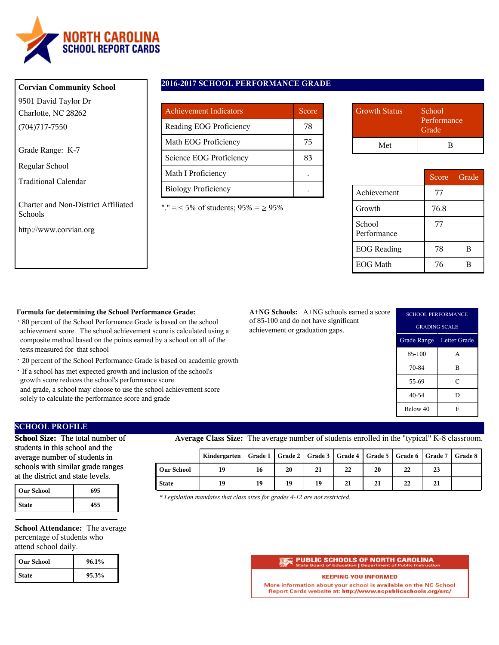

### **Corvian Community School**

9501 David Taylor Dr Charlotte, NC 28262 (704)717-7550

Grade Range: K-7

Regular School

Traditional Calendar

Charter and Non-District Affiliated Schools

http://www.corvian.org

### **2016-2017 SCHOOL PERFORMANCE GRADE**

| <b>Achievement Indicators</b> | Score |
|-------------------------------|-------|
| Reading EOG Proficiency       | 78    |
| Math EOG Proficiency          | 75    |
| Science EOG Proficiency       | 83    |
| Math I Proficiency            |       |
| Biology Proficiency           |       |

"." = < 5% of students;  $95\% = \ge 95\%$ 

| <b>Growth Status</b> | <b>School</b><br>Performance<br>Grade |
|----------------------|---------------------------------------|
| Met                  |                                       |

|                       | Score | Grade |
|-----------------------|-------|-------|
| Achievement           | 77    |       |
| Growth                | 76.8  |       |
| School<br>Performance | 77    |       |
| <b>EOG</b> Reading    | 78    | в     |
| <b>EOG</b> Math       | 76    |       |

### **Formula for determining the School Performance Grade:**

- · 80 percent of the School Performance Grade is based on the school achievement score. The school achievement score is calculated using a composite method based on the points earned by a school on all of the tests measured for that school
- · 20 percent of the School Performance Grade is based on academic growth
- · If a school has met expected growth and inclusion of the school's growth score reduces the school's performance score and grade, a school may choose to use the school achievement score solely to calculate the performance score and grade

**A+NG Schools:** A+NG schools earned a score of 85-100 and do not have significant achievement or graduation gaps.

| <b>SCHOOL PERFORMANCE</b> |           |  |  |  |
|---------------------------|-----------|--|--|--|
| <b>GRADING SCALE</b>      |           |  |  |  |
| Grade Range Letter Grade  |           |  |  |  |
| 85-100                    | A         |  |  |  |
| 70-84                     | B         |  |  |  |
| 55-69                     | $\subset$ |  |  |  |
| 40-54                     | D         |  |  |  |
| Below 40                  | F         |  |  |  |

# **SCHOOL PROFILE**

**School Size:** The total number of students in this school and the average number of students in schools with similar grade ranges at the district and state levels.

| <b>Our School</b> | 695 |
|-------------------|-----|
| <b>State</b>      | 455 |

**School Attendance:** The average percentage of students who attend school daily.

| l Our School | 96.1% |
|--------------|-------|
| <b>State</b> | 95.3% |

**Average Class Size:** The average number of students enrolled in the "typical" K-8 classroom.

|                   | Kindergarten   Grade 1   Grade 2   Grade 3   Grade 4   Grade 5   Grade 6   Grade 7   Grade 8 |    |    |    |    |    |    |    |  |
|-------------------|----------------------------------------------------------------------------------------------|----|----|----|----|----|----|----|--|
| <b>Our School</b> | 19                                                                                           | 16 | 20 | 21 | 22 | 20 | 22 | 23 |  |
| <b>State</b>      | 19                                                                                           | 19 | 19 | 19 | 21 | 21 | 22 | 21 |  |

*\* Legislation mandates that class sizes for grades 4-12 are not restricted.*

#### **PUBLIC SCHOOLS OF NORTH CAROLINA** on | Depart

#### **KEEPING YOU INFORMED**

More information about your school is available on the NC School Report Cards website at: http://www.ncpublicschools.org/src/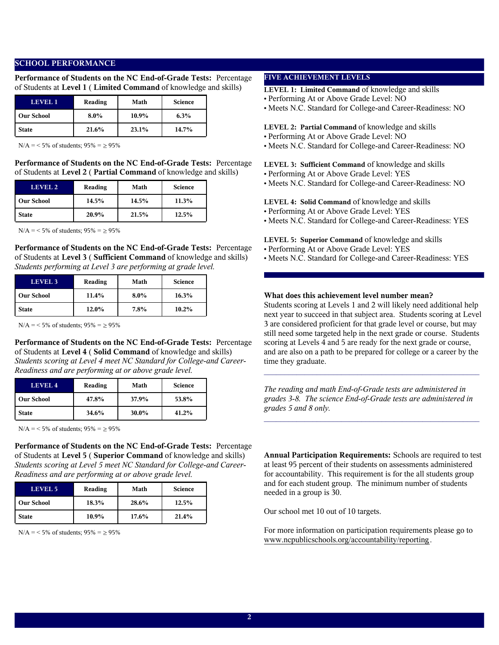### **SCHOOL PERFORMANCE**

**Performance of Students on the NC End-of-Grade Tests:** Percentage of Students at **Level 1** ( **Limited Command** of knowledge and skills)

| LEVEL 1           | Reading | Math     | <b>Science</b> |
|-------------------|---------|----------|----------------|
| <b>Our School</b> | $8.0\%$ | $10.9\%$ | 6.3%           |
| <b>State</b>      | 21.6%   | 23.1%    | 14.7%          |

 $N/A = 5\%$  of students;  $95\% = \ge 95\%$ 

**Performance of Students on the NC End-of-Grade Tests:** Percentage of Students at **Level 2** ( **Partial Command** of knowledge and skills)

| LEVEL 2           | Reading | Math  | <b>Science</b> |
|-------------------|---------|-------|----------------|
| <b>Our School</b> | 14.5%   | 14.5% | 11.3%          |
| <b>State</b>      | 20.9%   | 21.5% | 12.5%          |

 $N/A = 5\%$  of students;  $95\% = 95\%$ 

**Performance of Students on the NC End-of-Grade Tests:** Percentage of Students at **Level 3** ( **Sufficient Command** of knowledge and skills) *Students performing at Level 3 are performing at grade level.*

| <b>LEVEL 3</b>    | Reading | Math    | <b>Science</b> |
|-------------------|---------|---------|----------------|
| <b>Our School</b> | 11.4%   | $8.0\%$ | 16.3%          |
| <b>State</b>      | 12.0%   | 7.8%    | $10.2\%$       |

 $N/A = 5\%$  of students;  $95\% = 95\%$ 

**Performance of Students on the NC End-of-Grade Tests:** Percentage of Students at **Level 4** ( **Solid Command** of knowledge and skills) *Students scoring at Level 4 meet NC Standard for College-and Career-Readiness and are performing at or above grade level.*

| LEVEL <sub>4</sub> | Reading | Math  | <b>Science</b> |
|--------------------|---------|-------|----------------|
| <b>Our School</b>  | 47.8%   | 37.9% | 53.8%          |
| <b>State</b>       | 34.6%   | 30.0% | 41.2%          |

 $N/A = 5\%$  of students;  $95\% = \ge 95\%$ 

**Performance of Students on the NC End-of-Grade Tests:** Percentage of Students at **Level 5** ( **Superior Command** of knowledge and skills) *Students scoring at Level 5 meet NC Standard for College-and Career-Readiness and are performing at or above grade level.*

| LEVEL 5           | Reading  | Math     | <b>Science</b> |
|-------------------|----------|----------|----------------|
| <b>Our School</b> | 18.3%    | 28.6%    | 12.5%          |
| <b>State</b>      | $10.9\%$ | $17.6\%$ | 21.4%          |

 $N/A = 5\%$  of students;  $95\% = \ge 95\%$ 

# **FIVE ACHIEVEMENT LEVELS**

**LEVEL 1: Limited Command** of knowledge and skills

- Performing At or Above Grade Level: NO
- Meets N.C. Standard for College-and Career-Readiness: NO

#### **LEVEL 2: Partial Command** of knowledge and skills

- Performing At or Above Grade Level: NO
- Meets N.C. Standard for College-and Career-Readiness: NO

**LEVEL 3: Sufficient Command** of knowledge and skills

- Performing At or Above Grade Level: YES
- Meets N.C. Standard for College-and Career-Readiness: NO

#### **LEVEL 4: Solid Command** of knowledge and skills

- Performing At or Above Grade Level: YES
- Meets N.C. Standard for College-and Career-Readiness: YES

#### **LEVEL 5: Superior Command** of knowledge and skills

- Performing At or Above Grade Level: YES
- Meets N.C. Standard for College-and Career-Readiness: YES

### **What does this achievement level number mean?**

Students scoring at Levels 1 and 2 will likely need additional help next year to succeed in that subject area. Students scoring at Level 3 are considered proficient for that grade level or course, but may still need some targeted help in the next grade or course. Students scoring at Levels 4 and 5 are ready for the next grade or course, and are also on a path to be prepared for college or a career by the time they graduate.

*The reading and math End-of-Grade tests are administered in grades 3-8. The science End-of-Grade tests are administered in grades 5 and 8 only.*

 $\mathcal{L}_\text{max}$  and  $\mathcal{L}_\text{max}$  and  $\mathcal{L}_\text{max}$  and  $\mathcal{L}_\text{max}$  and  $\mathcal{L}_\text{max}$ 

 $\mathcal{L}_\text{max}$  and the contract of the contract of the contract of the contract of the contract of the contract of the contract of the contract of the contract of the contract of the contract of the contract of the contrac

**Annual Participation Requirements:** Schools are required to test at least 95 percent of their students on assessments administered for accountability. This requirement is for the all students group and for each student group. The minimum number of students needed in a group is 30.

Our school met 10 out of 10 targets.

For more information on participation requirements please go to www.ncpublicschools.org/accountability/reporting.